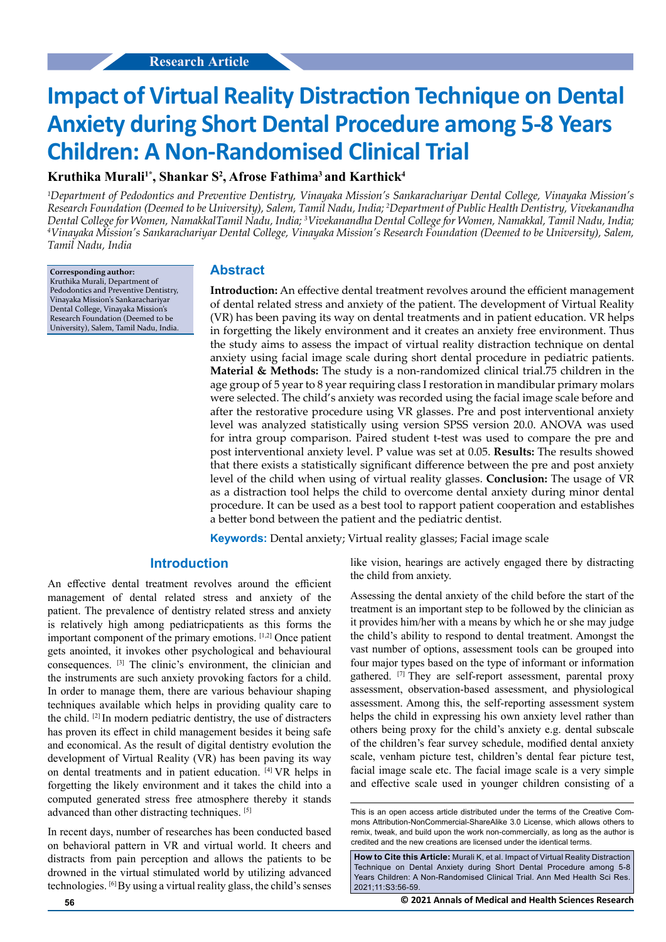# **Impact of Virtual Reality Distraction Technique on Dental Anxiety during Short Dental Procedure among 5-8 Years Children: A Non-Randomised Clinical Trial**

## **Kruthika Murali1\*, Shankar S2 , Afrose Fathima3 and Karthick4**

*1 Department of Pedodontics and Preventive Dentistry, Vinayaka Mission's Sankarachariyar Dental College, Vinayaka Mission's Research Foundation (Deemed to be University), Salem, Tamil Nadu, India; 2 Department of Public Health Dentistry, Vivekanandha*  Dental College for Women, NamakkalTamil Nadu, India; <sup>3</sup>Vivekanandha Dental College for Women, Namakkal, Tamil Nadu, India;<br><sup>4</sup>Vingyaka Mission's Sankarachariyar Dental College, Vingyaka Mission's Research Foundation (Deem *Vinayaka Mission's Sankarachariyar Dental College, Vinayaka Mission's Research Foundation (Deemed to be University), Salem, Tamil Nadu, India*

**Corresponding author:** Kruthika Murali, Department of Pedodontics and Preventive Dentistry, Vinayaka Mission's Sankarachariyar Dental College, Vinayaka Mission's Research Foundation (Deemed to be University), Salem, Tamil Nadu, India.

#### **Abstract**

**Introduction:** An effective dental treatment revolves around the efficient management of dental related stress and anxiety of the patient. The development of Virtual Reality (VR) has been paving its way on dental treatments and in patient education. VR helps in forgetting the likely environment and it creates an anxiety free environment. Thus the study aims to assess the impact of virtual reality distraction technique on dental anxiety using facial image scale during short dental procedure in pediatric patients. **Material & Methods:** The study is a non-randomized clinical trial.75 children in the age group of 5 year to 8 year requiring class I restoration in mandibular primary molars were selected. The child's anxiety was recorded using the facial image scale before and after the restorative procedure using VR glasses. Pre and post interventional anxiety level was analyzed statistically using version SPSS version 20.0. ANOVA was used for intra group comparison. Paired student t-test was used to compare the pre and post interventional anxiety level. P value was set at 0.05. **Results:** The results showed that there exists a statistically significant difference between the pre and post anxiety level of the child when using of virtual reality glasses. **Conclusion:** The usage of VR as a distraction tool helps the child to overcome dental anxiety during minor dental procedure. It can be used as a best tool to rapport patient cooperation and establishes a better bond between the patient and the pediatric dentist.

**Keywords:** Dental anxiety; Virtual reality glasses; Facial image scale

## **Introduction**

An effective dental treatment revolves around the efficient management of dental related stress and anxiety of the patient. The prevalence of dentistry related stress and anxiety is relatively high among pediatricpatients as this forms the important component of the primary emotions. [1,2] Once patient gets anointed, it invokes other psychological and behavioural consequences. [3] The clinic's environment, the clinician and the instruments are such anxiety provoking factors for a child. In order to manage them, there are various behaviour shaping techniques available which helps in providing quality care to the child. [2] In modern pediatric dentistry, the use of distracters has proven its effect in child management besides it being safe and economical. As the result of digital dentistry evolution the development of Virtual Reality (VR) has been paving its way on dental treatments and in patient education. [4] VR helps in forgetting the likely environment and it takes the child into a computed generated stress free atmosphere thereby it stands advanced than other distracting techniques. [5]

In recent days, number of researches has been conducted based on behavioral pattern in VR and virtual world. It cheers and distracts from pain perception and allows the patients to be drowned in the virtual stimulated world by utilizing advanced technologies. [6] By using a virtual reality glass, the child's senses

like vision, hearings are actively engaged there by distracting the child from anxiety.

Assessing the dental anxiety of the child before the start of the treatment is an important step to be followed by the clinician as it provides him/her with a means by which he or she may judge the child's ability to respond to dental treatment. Amongst the vast number of options, assessment tools can be grouped into four major types based on the type of informant or information gathered. <a>[7]</a> They are self-report assessment, parental proxy assessment, observation-based assessment, and physiological assessment. Among this, the self-reporting assessment system helps the child in expressing his own anxiety level rather than others being proxy for the child's anxiety e.g. dental subscale of the children's fear survey schedule, modified dental anxiety scale, venham picture test, children's dental fear picture test, facial image scale etc. The facial image scale is a very simple and effective scale used in younger children consisting of a

This is an open access article distributed under the terms of the Creative Commons Attribution‑NonCommercial‑ShareAlike 3.0 License, which allows others to remix, tweak, and build upon the work non‑commercially, as long as the author is credited and the new creations are licensed under the identical terms.

**How to Cite this Article:** Murali K, et al. Impact of Virtual Reality Distraction Technique on Dental Anxiety during Short Dental Procedure among 5-8 Years Children: A Non-Randomised Clinical Trial. Ann Med Health Sci Res. 2021;11:S3:56-59.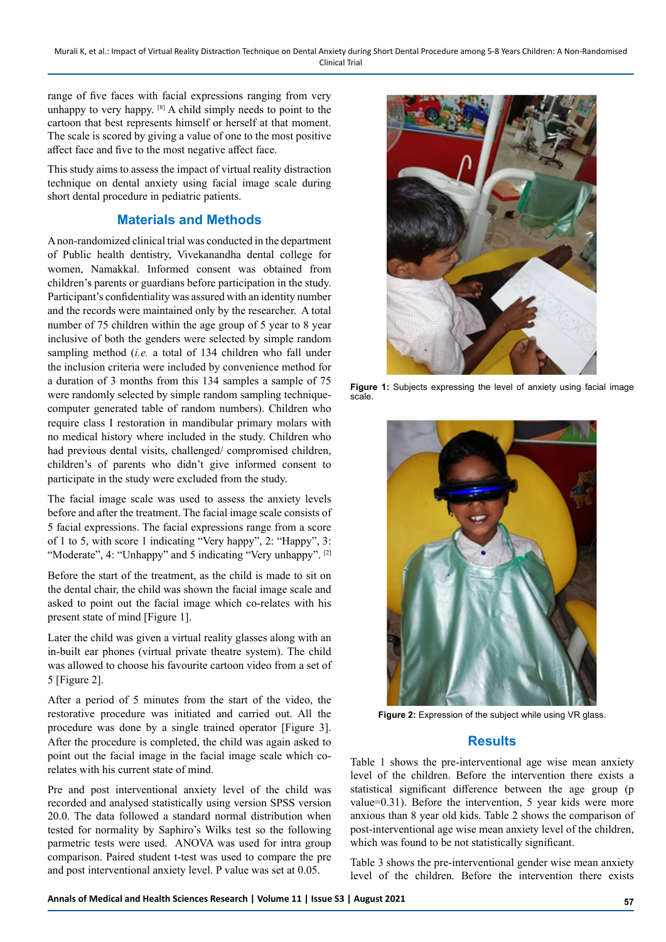Murali K, et al.: Impact of Virtual Reality Distraction Technique on Dental Anxiety during Short Dental Procedure among 5-8 Years Children: A Non-Randomised Clinical Trial

range of five faces with facial expressions ranging from very unhappy to very happy. [8] A child simply needs to point to the cartoon that best represents himself or herself at that moment. The scale is scored by giving a value of one to the most positive affect face and five to the most negative affect face.

This study aims to assess the impact of virtual reality distraction technique on dental anxiety using facial image scale during short dental procedure in pediatric patients.

## **Materials and Methods**

A non-randomized clinical trial was conducted in the department of Public health dentistry, Vivekanandha dental college for women, Namakkal. Informed consent was obtained from children's parents or guardians before participation in the study. Participant's confidentiality was assured with an identity number and the records were maintained only by the researcher. A total number of 75 children within the age group of 5 year to 8 year inclusive of both the genders were selected by simple random sampling method (*i.e.* a total of 134 children who fall under the inclusion criteria were included by convenience method for a duration of 3 months from this 134 samples a sample of 75 were randomly selected by simple random sampling techniquecomputer generated table of random numbers). Children who require class I restoration in mandibular primary molars with no medical history where included in the study. Children who had previous dental visits, challenged/ compromised children, children's of parents who didn't give informed consent to participate in the study were excluded from the study.

The facial image scale was used to assess the anxiety levels before and after the treatment. The facial image scale consists of 5 facial expressions. The facial expressions range from a score of 1 to 5, with score 1 indicating "Very happy", 2: "Happy", 3: "Moderate", 4: "Unhappy" and 5 indicating "Very unhappy". [2]

Before the start of the treatment, as the child is made to sit on the dental chair, the child was shown the facial image scale and asked to point out the facial image which co-relates with his present state of mind [Figure 1].

Later the child was given a virtual reality glasses along with an in-built ear phones (virtual private theatre system). The child was allowed to choose his favourite cartoon video from a set of 5 [Figure 2].

After a period of 5 minutes from the start of the video, the restorative procedure was initiated and carried out. All the procedure was done by a single trained operator [Figure 3]. After the procedure is completed, the child was again asked to point out the facial image in the facial image scale which corelates with his current state of mind.

Pre and post interventional anxiety level of the child was recorded and analysed statistically using version SPSS version 20.0. The data followed a standard normal distribution when tested for normality by Saphiro's Wilks test so the following parmetric tests were used. ANOVA was used for intra group comparison. Paired student t-test was used to compare the pre and post interventional anxiety level. P value was set at 0.05.



**Figure 1:** Subjects expressing the level of anxiety using facial image scale.



**Figure 2:** Expression of the subject while using VR glass.

## **Results**

Table 1 shows the pre-interventional age wise mean anxiety level of the children. Before the intervention there exists a statistical significant difference between the age group (p value=0.31). Before the intervention, 5 year kids were more anxious than 8 year old kids. Table 2 shows the comparison of post-interventional age wise mean anxiety level of the children, which was found to be not statistically significant.

Table 3 shows the pre-interventional gender wise mean anxiety level of the children. Before the intervention there exists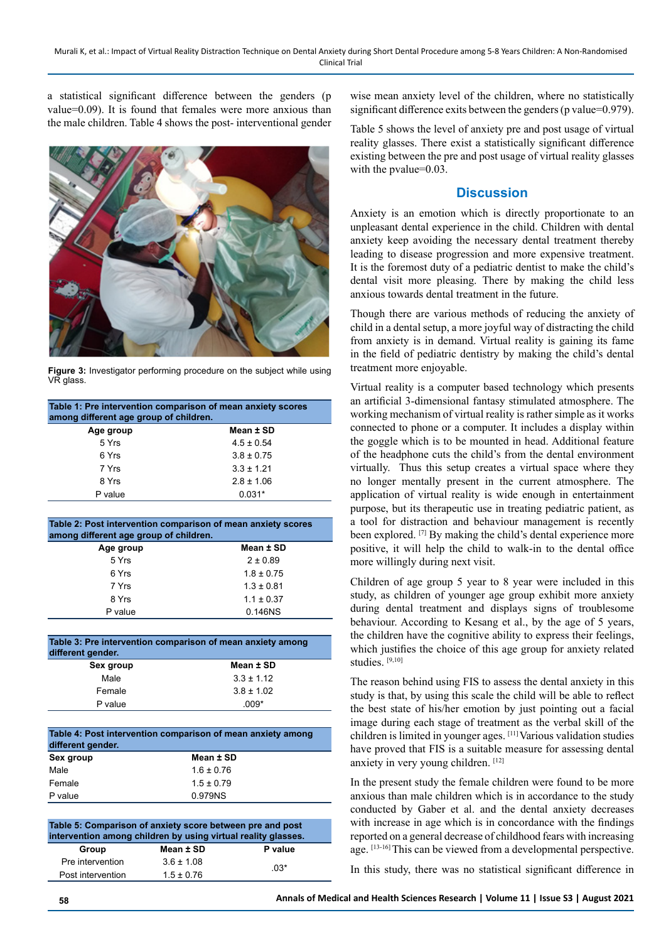a statistical significant difference between the genders (p value=0.09). It is found that females were more anxious than the male children. Table 4 shows the post- interventional gender



**Figure 3:** Investigator performing procedure on the subject while using VR glass.

| Table 1: Pre intervention comparison of mean anxiety scores<br>among different age group of children. |                |  |
|-------------------------------------------------------------------------------------------------------|----------------|--|
| Age group                                                                                             | Mean ± SD      |  |
| 5 Yrs                                                                                                 | $4.5 \pm 0.54$ |  |
| 6 Yrs                                                                                                 | $3.8 \pm 0.75$ |  |
| 7 Yrs                                                                                                 | $3.3 \pm 1.21$ |  |
| 8 Yrs                                                                                                 | $2.8 \pm 1.06$ |  |
| P value                                                                                               | $0.031*$       |  |

| Table 2: Post intervention comparison of mean anxiety scores<br>among different age group of children. |                |  |
|--------------------------------------------------------------------------------------------------------|----------------|--|
| Age group                                                                                              | Mean ± SD      |  |
| 5 Yrs                                                                                                  | $2 \pm 0.89$   |  |
| 6 Yrs                                                                                                  | $1.8 \pm 0.75$ |  |
| 7 Yrs                                                                                                  | $1.3 \pm 0.81$ |  |
| 8 Yrs                                                                                                  | $1.1 \pm 0.37$ |  |
| P value                                                                                                | 0.146NS        |  |

| Table 3: Pre intervention comparison of mean anxiety among<br>different gender. |                |  |
|---------------------------------------------------------------------------------|----------------|--|
| Sex group                                                                       | Mean ± SD      |  |
| Male                                                                            | $3.3 \pm 1.12$ |  |
| Female                                                                          | $3.8 \pm 1.02$ |  |
| P value                                                                         | በበ9*           |  |

| Table 4: Post intervention comparison of mean anxiety among<br>different gender. |                |  |
|----------------------------------------------------------------------------------|----------------|--|
| Sex group                                                                        | Mean ± SD      |  |
| Male                                                                             | $1.6 \pm 0.76$ |  |
| Female                                                                           | $1.5 \pm 0.79$ |  |
| P value                                                                          | 0.979NS        |  |

| Table 5: Comparison of anxiety score between pre and post<br>intervention among children by using virtual reality glasses. |                |         |  |  |
|----------------------------------------------------------------------------------------------------------------------------|----------------|---------|--|--|
| Group                                                                                                                      | Mean ± SD      | P value |  |  |
| Pre intervention                                                                                                           | $3.6 \pm 1.08$ | $.03*$  |  |  |
| Post intervention                                                                                                          | $1.5 \pm 0.76$ |         |  |  |

wise mean anxiety level of the children, where no statistically significant difference exits between the genders (p value=0.979).

Table 5 shows the level of anxiety pre and post usage of virtual reality glasses. There exist a statistically significant difference existing between the pre and post usage of virtual reality glasses with the pvalue=0.03.

## **Discussion**

Anxiety is an emotion which is directly proportionate to an unpleasant dental experience in the child. Children with dental anxiety keep avoiding the necessary dental treatment thereby leading to disease progression and more expensive treatment. It is the foremost duty of a pediatric dentist to make the child's dental visit more pleasing. There by making the child less anxious towards dental treatment in the future.

Though there are various methods of reducing the anxiety of child in a dental setup, a more joyful way of distracting the child from anxiety is in demand. Virtual reality is gaining its fame in the field of pediatric dentistry by making the child's dental treatment more enjoyable.

Virtual reality is a computer based technology which presents an artificial 3-dimensional fantasy stimulated atmosphere. The working mechanism of virtual reality is rather simple as it works connected to phone or a computer. It includes a display within the goggle which is to be mounted in head. Additional feature of the headphone cuts the child's from the dental environment virtually. Thus this setup creates a virtual space where they no longer mentally present in the current atmosphere. The application of virtual reality is wide enough in entertainment purpose, but its therapeutic use in treating pediatric patient, as a tool for distraction and behaviour management is recently been explored. [7] By making the child's dental experience more positive, it will help the child to walk-in to the dental office more willingly during next visit.

Children of age group 5 year to 8 year were included in this study, as children of younger age group exhibit more anxiety during dental treatment and displays signs of troublesome behaviour. According to Kesang et al., by the age of 5 years, the children have the cognitive ability to express their feelings, which justifies the choice of this age group for anxiety related studies. [9,10]

The reason behind using FIS to assess the dental anxiety in this study is that, by using this scale the child will be able to reflect the best state of his/her emotion by just pointing out a facial image during each stage of treatment as the verbal skill of the children is limited in younger ages. [11] Various validation studies have proved that FIS is a suitable measure for assessing dental anxiety in very young children. [12]

In the present study the female children were found to be more anxious than male children which is in accordance to the study conducted by Gaber et al. and the dental anxiety decreases with increase in age which is in concordance with the findings reported on a general decrease of childhood fears with increasing age. [13-16] This can be viewed from a developmental perspective.

In this study, there was no statistical significant difference in